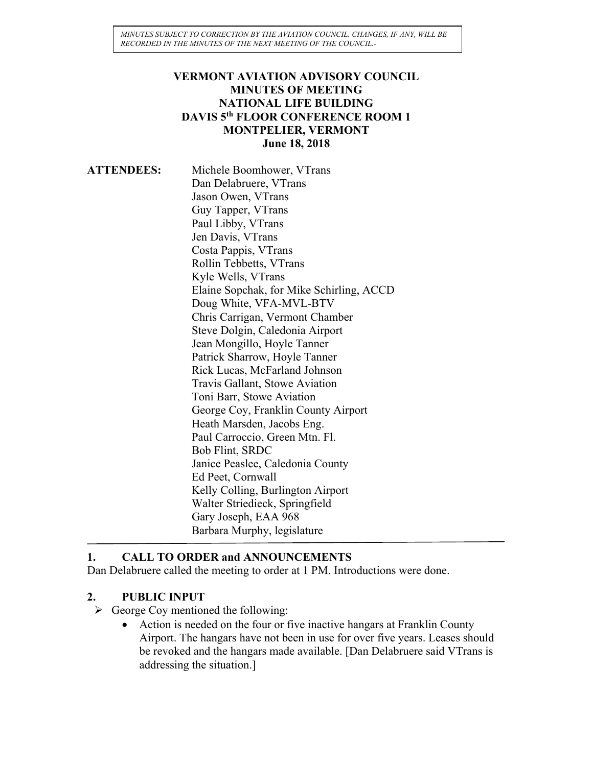*MINUTES SUBJECT TO CORRECTION BY THE AVIATION COUNCIL. CHANGES, IF ANY, WILL BE RECORDED IN THE MINUTES OF THE NEXT MEETING OF THE COUNCIL.-*

#### **VERMONT AVIATION ADVISORY COUNCIL MINUTES OF MEETING NATIONAL LIFE BUILDING DAVIS 5th FLOOR CONFERENCE ROOM 1 MONTPELIER, VERMONT June 18, 2018**

| <b>ATTENDEES:</b> | Michele Boomhower, VTrans                |
|-------------------|------------------------------------------|
|                   | Dan Delabruere, VTrans                   |
|                   | Jason Owen, VTrans                       |
|                   | Guy Tapper, VTrans                       |
|                   | Paul Libby, VTrans                       |
|                   | Jen Davis, VTrans                        |
|                   | Costa Pappis, VTrans                     |
|                   | Rollin Tebbetts, VTrans                  |
|                   | Kyle Wells, VTrans                       |
|                   | Elaine Sopchak, for Mike Schirling, ACCD |
|                   | Doug White, VFA-MVL-BTV                  |
|                   | Chris Carrigan, Vermont Chamber          |
|                   | Steve Dolgin, Caledonia Airport          |
|                   | Jean Mongillo, Hoyle Tanner              |
|                   | Patrick Sharrow, Hoyle Tanner            |
|                   | Rick Lucas, McFarland Johnson            |
|                   | Travis Gallant, Stowe Aviation           |
|                   | Toni Barr, Stowe Aviation                |
|                   | George Coy, Franklin County Airport      |
|                   | Heath Marsden, Jacobs Eng.               |
|                   | Paul Carroccio, Green Mtn. Fl.           |
|                   | Bob Flint, SRDC                          |
|                   | Janice Peaslee, Caledonia County         |
|                   | Ed Peet, Cornwall                        |
|                   | Kelly Colling, Burlington Airport        |
|                   | Walter Striedieck, Springfield           |
|                   | Gary Joseph, EAA 968                     |
|                   | Barbara Murphy, legislature              |

#### **1. CALL TO ORDER and ANNOUNCEMENTS**

Dan Delabruere called the meeting to order at 1 PM. Introductions were done.

# **2. PUBLIC INPUT**

- $\triangleright$  George Coy mentioned the following:
	- Action is needed on the four or five inactive hangars at Franklin County Airport. The hangars have not been in use for over five years. Leases should be revoked and the hangars made available. [Dan Delabruere said VTrans is addressing the situation.]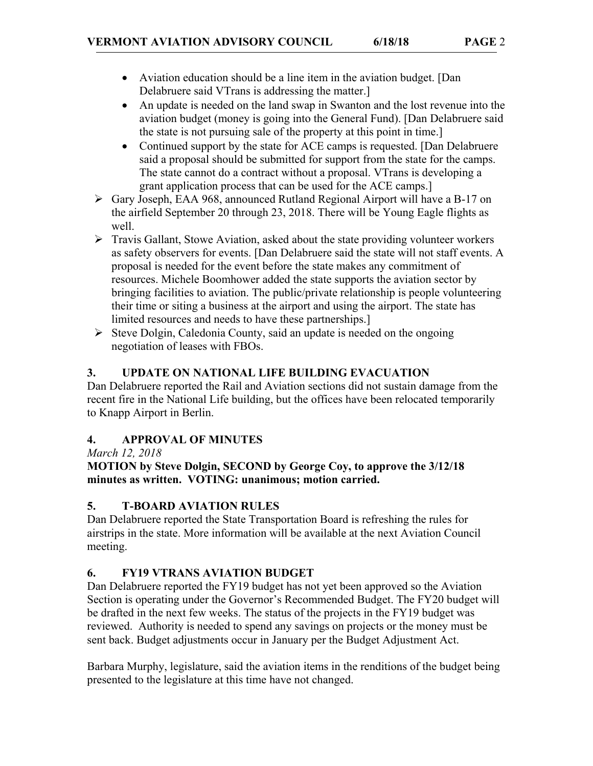- Aviation education should be a line item in the aviation budget. [Dan Delabruere said VTrans is addressing the matter.]
- An update is needed on the land swap in Swanton and the lost revenue into the aviation budget (money is going into the General Fund). [Dan Delabruere said the state is not pursuing sale of the property at this point in time.]
- Continued support by the state for ACE camps is requested. [Dan Delabruere] said a proposal should be submitted for support from the state for the camps. The state cannot do a contract without a proposal. VTrans is developing a grant application process that can be used for the ACE camps.]
- Gary Joseph, EAA 968, announced Rutland Regional Airport will have a B-17 on the airfield September 20 through 23, 2018. There will be Young Eagle flights as well.
- $\triangleright$  Travis Gallant, Stowe Aviation, asked about the state providing volunteer workers as safety observers for events. [Dan Delabruere said the state will not staff events. A proposal is needed for the event before the state makes any commitment of resources. Michele Boomhower added the state supports the aviation sector by bringing facilities to aviation. The public/private relationship is people volunteering their time or siting a business at the airport and using the airport. The state has limited resources and needs to have these partnerships.]
- $\triangleright$  Steve Dolgin, Caledonia County, said an update is needed on the ongoing negotiation of leases with FBOs.

# **3. UPDATE ON NATIONAL LIFE BUILDING EVACUATION**

Dan Delabruere reported the Rail and Aviation sections did not sustain damage from the recent fire in the National Life building, but the offices have been relocated temporarily to Knapp Airport in Berlin.

# **4. APPROVAL OF MINUTES**

*March 12, 2018*

#### **MOTION by Steve Dolgin, SECOND by George Coy, to approve the 3/12/18 minutes as written. VOTING: unanimous; motion carried.**

# **5. T-BOARD AVIATION RULES**

Dan Delabruere reported the State Transportation Board is refreshing the rules for airstrips in the state. More information will be available at the next Aviation Council meeting.

# **6. FY19 VTRANS AVIATION BUDGET**

Dan Delabruere reported the FY19 budget has not yet been approved so the Aviation Section is operating under the Governor's Recommended Budget. The FY20 budget will be drafted in the next few weeks. The status of the projects in the FY19 budget was reviewed. Authority is needed to spend any savings on projects or the money must be sent back. Budget adjustments occur in January per the Budget Adjustment Act.

Barbara Murphy, legislature, said the aviation items in the renditions of the budget being presented to the legislature at this time have not changed.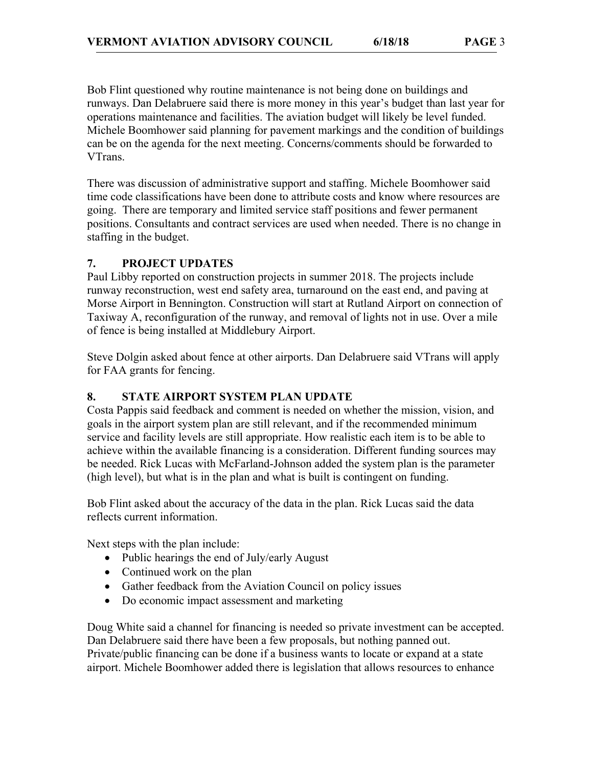Bob Flint questioned why routine maintenance is not being done on buildings and runways. Dan Delabruere said there is more money in this year's budget than last year for operations maintenance and facilities. The aviation budget will likely be level funded. Michele Boomhower said planning for pavement markings and the condition of buildings can be on the agenda for the next meeting. Concerns/comments should be forwarded to VTrans.

There was discussion of administrative support and staffing. Michele Boomhower said time code classifications have been done to attribute costs and know where resources are going. There are temporary and limited service staff positions and fewer permanent positions. Consultants and contract services are used when needed. There is no change in staffing in the budget.

# **7. PROJECT UPDATES**

Paul Libby reported on construction projects in summer 2018. The projects include runway reconstruction, west end safety area, turnaround on the east end, and paving at Morse Airport in Bennington. Construction will start at Rutland Airport on connection of Taxiway A, reconfiguration of the runway, and removal of lights not in use. Over a mile of fence is being installed at Middlebury Airport.

Steve Dolgin asked about fence at other airports. Dan Delabruere said VTrans will apply for FAA grants for fencing.

# **8. STATE AIRPORT SYSTEM PLAN UPDATE**

Costa Pappis said feedback and comment is needed on whether the mission, vision, and goals in the airport system plan are still relevant, and if the recommended minimum service and facility levels are still appropriate. How realistic each item is to be able to achieve within the available financing is a consideration. Different funding sources may be needed. Rick Lucas with McFarland-Johnson added the system plan is the parameter (high level), but what is in the plan and what is built is contingent on funding.

Bob Flint asked about the accuracy of the data in the plan. Rick Lucas said the data reflects current information.

Next steps with the plan include:

- Public hearings the end of July/early August
- Continued work on the plan
- Gather feedback from the Aviation Council on policy issues
- Do economic impact assessment and marketing

Doug White said a channel for financing is needed so private investment can be accepted. Dan Delabruere said there have been a few proposals, but nothing panned out. Private/public financing can be done if a business wants to locate or expand at a state airport. Michele Boomhower added there is legislation that allows resources to enhance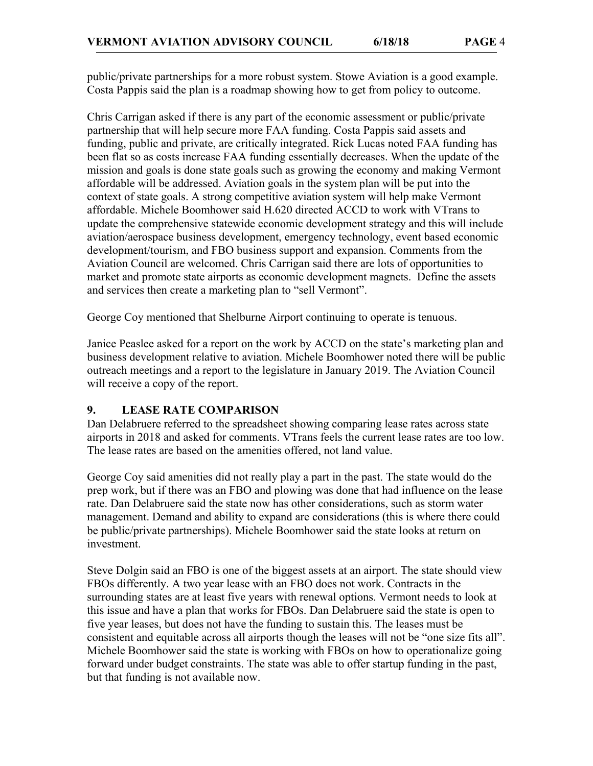public/private partnerships for a more robust system. Stowe Aviation is a good example. Costa Pappis said the plan is a roadmap showing how to get from policy to outcome.

Chris Carrigan asked if there is any part of the economic assessment or public/private partnership that will help secure more FAA funding. Costa Pappis said assets and funding, public and private, are critically integrated. Rick Lucas noted FAA funding has been flat so as costs increase FAA funding essentially decreases. When the update of the mission and goals is done state goals such as growing the economy and making Vermont affordable will be addressed. Aviation goals in the system plan will be put into the context of state goals. A strong competitive aviation system will help make Vermont affordable. Michele Boomhower said H.620 directed ACCD to work with VTrans to update the comprehensive statewide economic development strategy and this will include aviation/aerospace business development, emergency technology, event based economic development/tourism, and FBO business support and expansion. Comments from the Aviation Council are welcomed. Chris Carrigan said there are lots of opportunities to market and promote state airports as economic development magnets. Define the assets and services then create a marketing plan to "sell Vermont".

George Coy mentioned that Shelburne Airport continuing to operate is tenuous.

Janice Peaslee asked for a report on the work by ACCD on the state's marketing plan and business development relative to aviation. Michele Boomhower noted there will be public outreach meetings and a report to the legislature in January 2019. The Aviation Council will receive a copy of the report.

#### **9. LEASE RATE COMPARISON**

Dan Delabruere referred to the spreadsheet showing comparing lease rates across state airports in 2018 and asked for comments. VTrans feels the current lease rates are too low. The lease rates are based on the amenities offered, not land value.

George Coy said amenities did not really play a part in the past. The state would do the prep work, but if there was an FBO and plowing was done that had influence on the lease rate. Dan Delabruere said the state now has other considerations, such as storm water management. Demand and ability to expand are considerations (this is where there could be public/private partnerships). Michele Boomhower said the state looks at return on investment.

Steve Dolgin said an FBO is one of the biggest assets at an airport. The state should view FBOs differently. A two year lease with an FBO does not work. Contracts in the surrounding states are at least five years with renewal options. Vermont needs to look at this issue and have a plan that works for FBOs. Dan Delabruere said the state is open to five year leases, but does not have the funding to sustain this. The leases must be consistent and equitable across all airports though the leases will not be "one size fits all". Michele Boomhower said the state is working with FBOs on how to operationalize going forward under budget constraints. The state was able to offer startup funding in the past, but that funding is not available now.